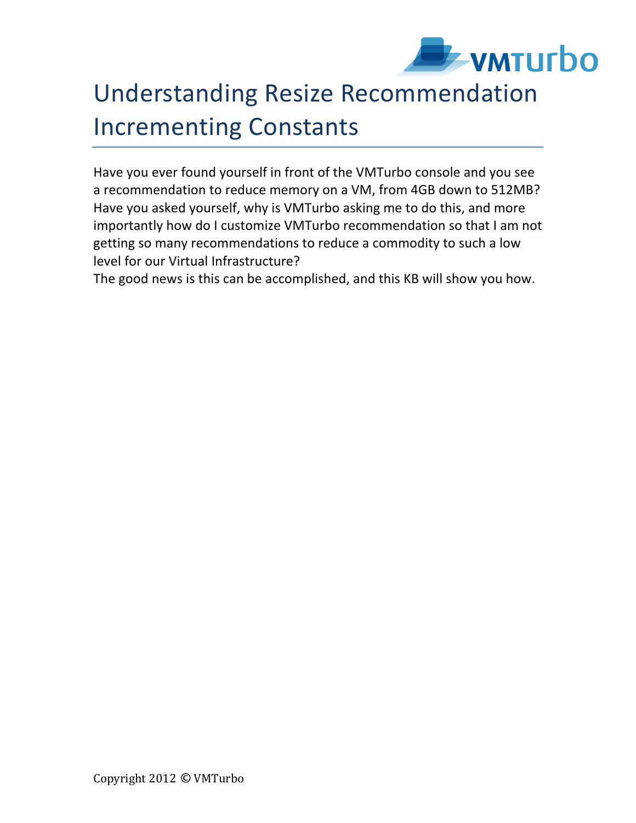

## Understanding Resize Recommendation Incrementing Constants

Have you ever found yourself in front of the VMTurbo console and you see a recommendation to reduce memory on a VM, from 4GB down to 512MB? Have you asked yourself, why is VMTurbo asking me to do this, and more importantly how do I customize VMTurbo recommendation so that I am not getting so many recommendations to reduce a commodity to such a low level for our Virtual Infrastructure?

The good news is this can be accomplished, and this KB will show you how.